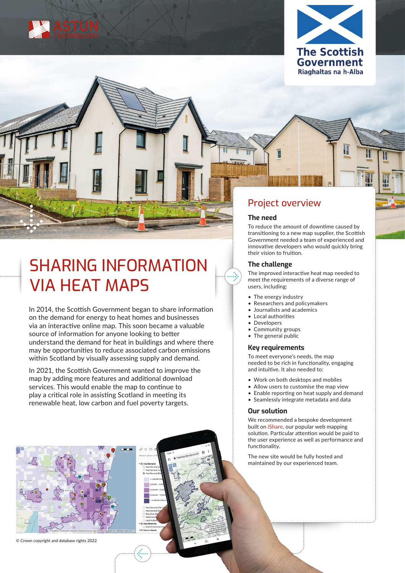



## SHARING INFORMATION VIA HEAT MAPS

In 2014, the Scottish Government began to share information on the demand for energy to heat homes and businesses via an interactive online map. This soon became a valuable source of information for anyone looking to better understand the demand for heat in buildings and where there may be opportunities to reduce associated carbon emissions within Scotland by visually assessing supply and demand.

In 2021, the Scottish Government wanted to improve the map by adding more features and additional download services. This would enable the map to continue to play a critical role in assisting Scotland in meeting its renewable heat, low carbon and fuel poverty targets.

## Project overview

#### **The need**

To reduce the amount of downtime caused by transitioning to a new map supplier, the Scottish Government needed a team of experienced and innovative developers who would quickly bring their vision to fruition.

### **The challenge**

The improved interactive heat map needed to meet the requirements of a diverse range of users, including:

- The energy industry
- Researchers and policymakers
- Journalists and academics
- Local authorities
- Developers
- Community groups
- The general public

#### **Key requirements**

To meet everyone's needs, the map needed to be rich in functionality, engaging and intuitive. It also needed to:

- Work on both desktops and mobiles
- Allow users to customise the map view
- Enable reporting on heat supply and demand
- Seamlessly integrate metadata and data

#### **Our solution**

We recommended a bespoke development built on [iShare](https://www.astuntechnology.com/cloud-products/ishare/), our popular web mapping solution. Particular attention would be paid to the user experience as well as performance and functionality.

The new site would be fully hosted and maintained by our experienced team.



© Crown copyright and database rights 2022